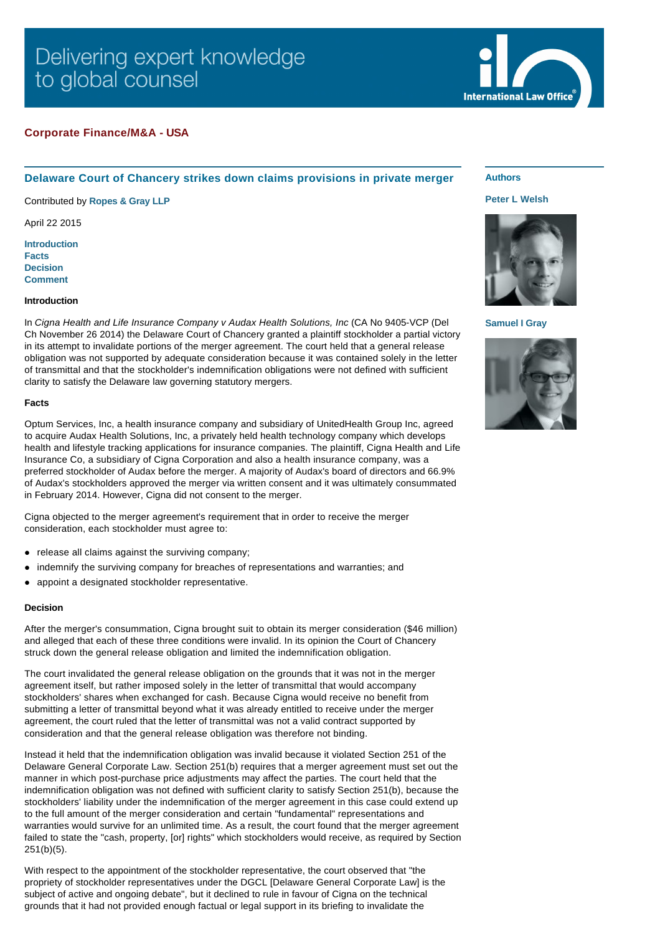# Delivering expert knowledge to global counsel

# **Corporate Finance/M&A - USA**

# **Delaware Court of Chancery strikes down claims provisions in private merger**

Contributed by **[Ropes & Gray LLP](http://www.internationallawoffice.com/gesr.ashx?l=7NEBANK)**

April 22 2015

**[Introduction](#page-0-0) [Facts](#page-0-1) [Decision](#page-0-2) [Comment](#page-1-0)**

#### <span id="page-0-0"></span>**Introduction**

In *Cigna Health and Life Insurance Company v Audax Health Solutions, Inc* (CA No 9405-VCP (Del Ch November 26 2014) the Delaware Court of Chancery granted a plaintiff stockholder a partial victory in its attempt to invalidate portions of the merger agreement. The court held that a general release obligation was not supported by adequate consideration because it was contained solely in the letter of transmittal and that the stockholder's indemnification obligations were not defined with sufficient clarity to satisfy the Delaware law governing statutory mergers.

### <span id="page-0-1"></span>**Facts**

Optum Services, Inc, a health insurance company and subsidiary of UnitedHealth Group Inc, agreed to acquire Audax Health Solutions, Inc, a privately held health technology company which develops health and lifestyle tracking applications for insurance companies. The plaintiff, Cigna Health and Life Insurance Co, a subsidiary of Cigna Corporation and also a health insurance company, was a preferred stockholder of Audax before the merger. A majority of Audax's board of directors and 66.9% of Audax's stockholders approved the merger via written consent and it was ultimately consummated in February 2014. However, Cigna did not consent to the merger.

Cigna objected to the merger agreement's requirement that in order to receive the merger consideration, each stockholder must agree to:

- release all claims against the surviving company;
- indemnify the surviving company for breaches of representations and warranties; and
- appoint a designated stockholder representative.

#### <span id="page-0-2"></span>**Decision**

After the merger's consummation, Cigna brought suit to obtain its merger consideration (\$46 million) and alleged that each of these three conditions were invalid. In its opinion the Court of Chancery struck down the general release obligation and limited the indemnification obligation.

The court invalidated the general release obligation on the grounds that it was not in the merger agreement itself, but rather imposed solely in the letter of transmittal that would accompany stockholders' shares when exchanged for cash. Because Cigna would receive no benefit from submitting a letter of transmittal beyond what it was already entitled to receive under the merger agreement, the court ruled that the letter of transmittal was not a valid contract supported by consideration and that the general release obligation was therefore not binding.

Instead it held that the indemnification obligation was invalid because it violated Section 251 of the Delaware General Corporate Law. Section 251(b) requires that a merger agreement must set out the manner in which post-purchase price adjustments may affect the parties. The court held that the indemnification obligation was not defined with sufficient clarity to satisfy Section 251(b), because the stockholders' liability under the indemnification of the merger agreement in this case could extend up to the full amount of the merger consideration and certain "fundamental" representations and warranties would survive for an unlimited time. As a result, the court found that the merger agreement failed to state the "cash, property, [or] rights" which stockholders would receive, as required by Section 251(b)(5).

With respect to the appointment of the stockholder representative, the court observed that "the propriety of stockholder representatives under the DGCL [Delaware General Corporate Law] is the subject of active and ongoing debate", but it declined to rule in favour of Cigna on the technical grounds that it had not provided enough factual or legal support in its briefing to invalidate the

## **Authors**

### **[Peter L Welsh](http://www.internationallawoffice.com/gesr.ashx?l=7NEBANR)**



**[Samuel I Gray](http://www.internationallawoffice.com/gesr.ashx?l=7NEBANX)**